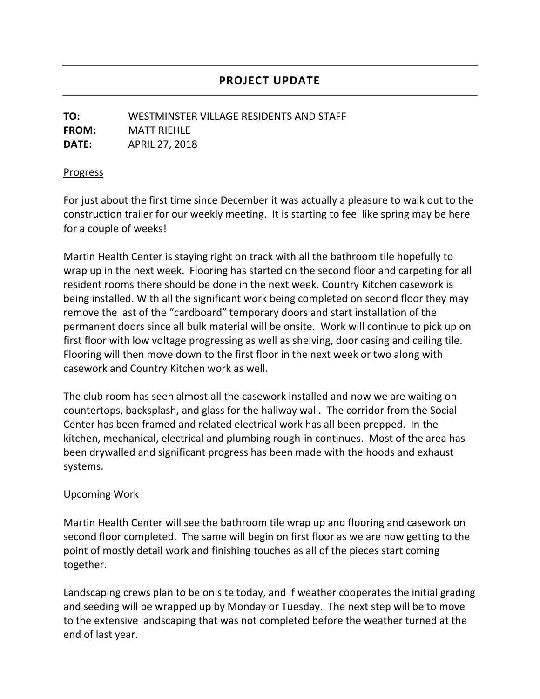## **PROJECT UPDATE**

## **TO:** WESTMINSTER VILLAGE RESIDENTS AND STAFF **FROM:** MATT RIEHLE **DATE:** APRIL 27, 2018

## **Progress**

For just about the first time since December it was actually a pleasure to walk out to the construction trailer for our weekly meeting. It is starting to feel like spring may be here for a couple of weeks!

Martin Health Center is staying right on track with all the bathroom tile hopefully to wrap up in the next week. Flooring has started on the second floor and carpeting for all resident rooms there should be done in the next week. Country Kitchen casework is being installed. With all the significant work being completed on second floor they may remove the last of the "cardboard" temporary doors and start installation of the permanent doors since all bulk material will be onsite. Work will continue to pick up on first floor with low voltage progressing as well as shelving, door casing and ceiling tile. Flooring will then move down to the first floor in the next week or two along with casework and Country Kitchen work as well.

The club room has seen almost all the casework installed and now we are waiting on countertops, backsplash, and glass for the hallway wall. The corridor from the Social Center has been framed and related electrical work has all been prepped. In the kitchen, mechanical, electrical and plumbing rough-in continues. Most of the area has been drywalled and significant progress has been made with the hoods and exhaust systems.

## Upcoming Work

Martin Health Center will see the bathroom tile wrap up and flooring and casework on second floor completed. The same will begin on first floor as we are now getting to the point of mostly detail work and finishing touches as all of the pieces start coming together.

Landscaping crews plan to be on site today, and if weather cooperates the initial grading and seeding will be wrapped up by Monday or Tuesday. The next step will be to move to the extensive landscaping that was not completed before the weather turned at the end of last year.